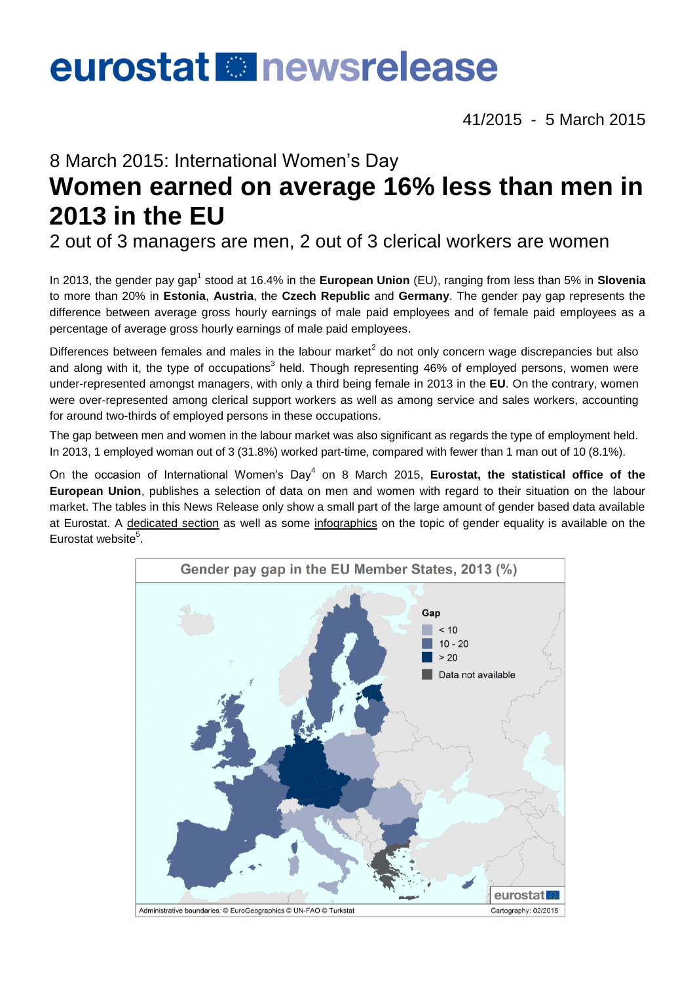# eurostat **B** newsrelease

41/2015 - 5 March 2015

# 8 March 2015: International Women's Day **Women earned on average 16% less than men in 2013 in the EU**

2 out of 3 managers are men, 2 out of 3 clerical workers are women

In 2013, the gender pay gap<sup>1</sup> stood at 16.4% in the **European Union** (EU), ranging from less than 5% in **Slovenia** to more than 20% in **Estonia**, **Austria**, the **Czech Republic** and **Germany**. The gender pay gap represents the difference between average gross hourly earnings of male paid employees and of female paid employees as a percentage of average gross hourly earnings of male paid employees.

Differences between females and males in the labour market<sup>2</sup> do not only concern wage discrepancies but also and along with it, the type of occupations<sup>3</sup> held. Though representing 46% of employed persons, women were under-represented amongst managers, with only a third being female in 2013 in the **EU**. On the contrary, women were over-represented among clerical support workers as well as among service and sales workers, accounting for around two-thirds of employed persons in these occupations.

The gap between men and women in the labour market was also significant as regards the type of employment held. In 2013, 1 employed woman out of 3 (31.8%) worked part-time, compared with fewer than 1 man out of 10 (8.1%).

On the occasion of International Women's Day<sup>4</sup> on 8 March 2015, **Eurostat, the statistical office of the European Union**, publishes a selection of data on men and women with regard to their situation on the labour market. The tables in this News Release only show a small part of the large amount of gender based data available at Eurostat. A [dedicated section](http://ec.europa.eu/eurostat/web/employment-and-social-policy/equality) as well as some [infographics](http://ec.europa.eu/eurostat/news/themes-in-the-spotlight) on the topic of gender equality is available on the Eurostat website<sup>5</sup>.

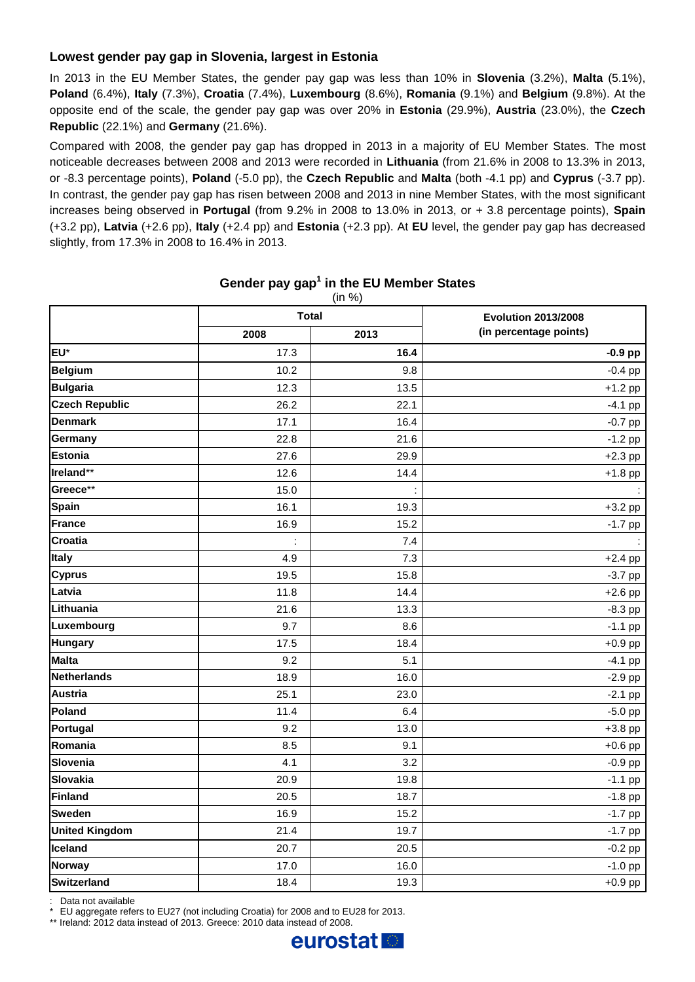# **Lowest gender pay gap in Slovenia, largest in Estonia**

In 2013 in the EU Member States, the gender pay gap was less than 10% in **Slovenia** (3.2%), **Malta** (5.1%), **Poland** (6.4%), **Italy** (7.3%), **Croatia** (7.4%), **Luxembourg** (8.6%), **Romania** (9.1%) and **Belgium** (9.8%). At the opposite end of the scale, the gender pay gap was over 20% in **Estonia** (29.9%), **Austria** (23.0%), the **Czech Republic** (22.1%) and **Germany** (21.6%).

Compared with 2008, the gender pay gap has dropped in 2013 in a majority of EU Member States. The most noticeable decreases between 2008 and 2013 were recorded in **Lithuania** (from 21.6% in 2008 to 13.3% in 2013, or -8.3 percentage points), **Poland** (-5.0 pp), the **Czech Republic** and **Malta** (both -4.1 pp) and **Cyprus** (-3.7 pp). In contrast, the gender pay gap has risen between 2008 and 2013 in nine Member States, with the most significant increases being observed in **Portugal** (from 9.2% in 2008 to 13.0% in 2013, or + 3.8 percentage points), **Spain** (+3.2 pp), **Latvia** (+2.6 pp), **Italy** (+2.4 pp) and **Estonia** (+2.3 pp). At **EU** level, the gender pay gap has decreased slightly, from 17.3% in 2008 to 16.4% in 2013.

|                       | <b>Total</b> |      | <b>Evolution 2013/2008</b> |  |
|-----------------------|--------------|------|----------------------------|--|
|                       | 2008         | 2013 | (in percentage points)     |  |
| EU*                   | 17.3         | 16.4 | $-0.9$ pp                  |  |
| <b>Belgium</b>        | 10.2         | 9.8  | $-0.4$ pp                  |  |
| <b>Bulgaria</b>       | 12.3         | 13.5 | $+1.2$ pp                  |  |
| <b>Czech Republic</b> | 26.2         | 22.1 | $-4.1$ pp                  |  |
| <b>Denmark</b>        | 17.1         | 16.4 | $-0.7$ pp                  |  |
| Germany               | 22.8         | 21.6 | $-1.2$ pp                  |  |
| <b>Estonia</b>        | 27.6         | 29.9 | $+2.3$ pp                  |  |
| Ireland**             | 12.6         | 14.4 | $+1.8$ pp                  |  |
| Greece**              | 15.0         |      |                            |  |
| <b>Spain</b>          | 16.1         | 19.3 | $+3.2$ pp                  |  |
| France                | 16.9         | 15.2 | $-1.7$ pp                  |  |
| <b>Croatia</b>        |              | 7.4  |                            |  |
| Italy                 | 4.9          | 7.3  | $+2.4$ pp                  |  |
| <b>Cyprus</b>         | 19.5         | 15.8 | $-3.7$ pp                  |  |
| Latvia                | 11.8         | 14.4 | $+2.6$ pp                  |  |
| Lithuania             | 21.6         | 13.3 | $-8.3$ pp                  |  |
| Luxembourg            | 9.7          | 8.6  | $-1.1$ pp                  |  |
| <b>Hungary</b>        | 17.5         | 18.4 | $+0.9$ pp                  |  |
| <b>Malta</b>          | 9.2          | 5.1  | $-4.1$ pp                  |  |
| <b>Netherlands</b>    | 18.9         | 16.0 | $-2.9$ pp                  |  |
| <b>Austria</b>        | 25.1         | 23.0 | $-2.1$ pp                  |  |
| Poland                | 11.4         | 6.4  | $-5.0$ pp                  |  |
| Portugal              | 9.2          | 13.0 | $+3.8$ pp                  |  |
| Romania               | 8.5          | 9.1  | $+0.6$ pp                  |  |
| Slovenia              | 4.1          | 3.2  | $-0.9$ pp                  |  |
| Slovakia              | 20.9         | 19.8 | $-1.1$ pp                  |  |
| Finland               | 20.5         | 18.7 | $-1.8$ pp                  |  |
| <b>Sweden</b>         | 16.9         | 15.2 | $-1.7$ pp                  |  |
| <b>United Kingdom</b> | 21.4         | 19.7 | $-1.7$ pp                  |  |
| Iceland               | 20.7         | 20.5 | $-0.2$ pp                  |  |
| <b>Norway</b>         | 17.0         | 16.0 | $-1.0$ pp                  |  |
| Switzerland           | 18.4         | 19.3 | $+0.9$ pp                  |  |

#### **Gender pay gap<sup>1</sup> in the EU Member States** (in %)

: Data not available

EU aggregate refers to EU27 (not including Croatia) for 2008 and to EU28 for 2013.

\*\* Ireland: 2012 data instead of 2013. Greece: 2010 data instead of 2008.

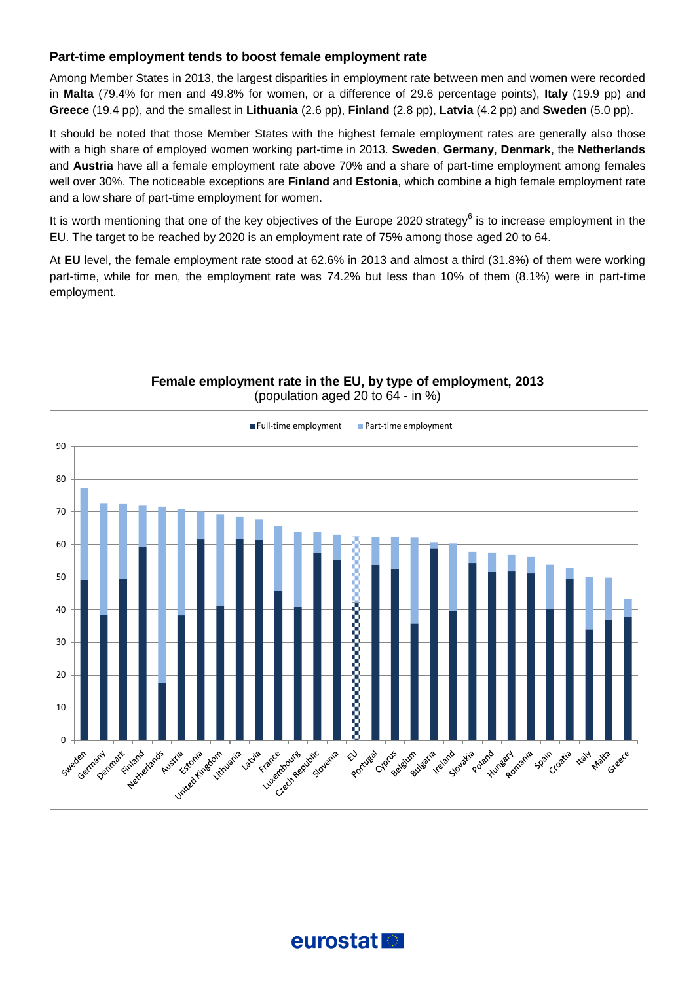## **Part-time employment tends to boost female employment rate**

Among Member States in 2013, the largest disparities in employment rate between men and women were recorded in **Malta** (79.4% for men and 49.8% for women, or a difference of 29.6 percentage points), **Italy** (19.9 pp) and **Greece** (19.4 pp), and the smallest in **Lithuania** (2.6 pp), **Finland** (2.8 pp), **Latvia** (4.2 pp) and **Sweden** (5.0 pp).

It should be noted that those Member States with the highest female employment rates are generally also those with a high share of employed women working part-time in 2013. **Sweden**, **Germany**, **Denmark**, the **Netherlands** and **Austria** have all a female employment rate above 70% and a share of part-time employment among females well over 30%. The noticeable exceptions are **Finland** and **Estonia**, which combine a high female employment rate and a low share of part-time employment for women.

It is worth mentioning that one of the key objectives of the Europe 2020 strategy<sup>6</sup> is to increase employment in the EU. The target to be reached by 2020 is an employment rate of 75% among those aged 20 to 64.

At **EU** level, the female employment rate stood at 62.6% in 2013 and almost a third (31.8%) of them were working part-time, while for men, the employment rate was 74.2% but less than 10% of them (8.1%) were in part-time employment.



## **Female employment rate in the EU, by type of employment, 2013** (population aged 20 to 64 - in %)

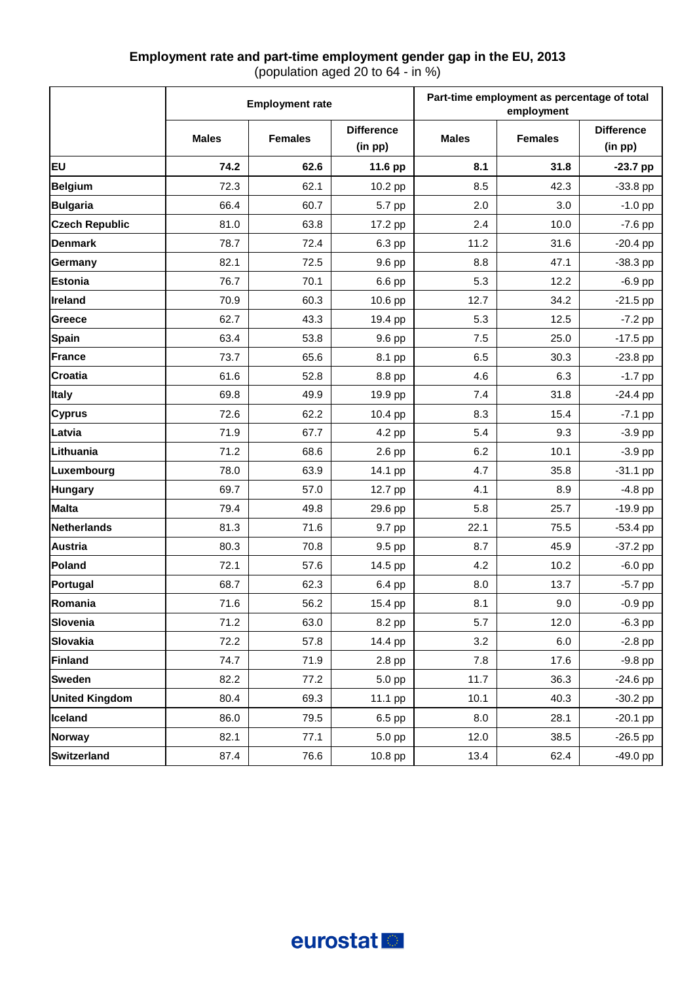# **Employment rate and part-time employment gender gap in the EU, 2013**

(population aged 20 to 64 - in %)

|                       | <b>Employment rate</b> |                |                              | Part-time employment as percentage of total<br>employment |                |                              |  |
|-----------------------|------------------------|----------------|------------------------------|-----------------------------------------------------------|----------------|------------------------------|--|
|                       | <b>Males</b>           | <b>Females</b> | <b>Difference</b><br>(in pp) | <b>Males</b>                                              | <b>Females</b> | <b>Difference</b><br>(in pp) |  |
| <b>EU</b>             | 74.2                   | 62.6           | 11.6 pp                      | 8.1                                                       | 31.8           | $-23.7$ pp                   |  |
| <b>Belgium</b>        | 72.3                   | 62.1           | 10.2 pp                      | 8.5                                                       | 42.3           | $-33.8$ pp                   |  |
| <b>Bulgaria</b>       | 66.4                   | 60.7           | 5.7 pp                       | 2.0                                                       | 3.0            | $-1.0$ pp                    |  |
| <b>Czech Republic</b> | 81.0                   | 63.8           | 17.2 pp                      | 2.4                                                       | 10.0           | $-7.6$ pp                    |  |
| <b>Denmark</b>        | 78.7                   | 72.4           | 6.3 pp                       | 11.2                                                      | 31.6           | $-20.4$ pp                   |  |
| Germany               | 82.1                   | 72.5           | 9.6 pp                       | 8.8                                                       | 47.1           | $-38.3$ pp                   |  |
| <b>Estonia</b>        | 76.7                   | 70.1           | 6.6 pp                       | 5.3                                                       | 12.2           | $-6.9$ pp                    |  |
| Ireland               | 70.9                   | 60.3           | 10.6 pp                      | 12.7                                                      | 34.2           | $-21.5$ pp                   |  |
| Greece                | 62.7                   | 43.3           | 19.4 pp                      | 5.3                                                       | 12.5           | $-7.2$ pp                    |  |
| <b>Spain</b>          | 63.4                   | 53.8           | 9.6 pp                       | 7.5                                                       | 25.0           | $-17.5$ pp                   |  |
| France                | 73.7                   | 65.6           | 8.1 pp                       | 6.5                                                       | 30.3           | $-23.8$ pp                   |  |
| <b>Croatia</b>        | 61.6                   | 52.8           | 8.8 pp                       | 4.6                                                       | 6.3            | $-1.7$ pp                    |  |
| <b>Italy</b>          | 69.8                   | 49.9           | 19.9 pp                      | 7.4                                                       | 31.8           | $-24.4$ pp                   |  |
| <b>Cyprus</b>         | 72.6                   | 62.2           | 10.4 pp                      | 8.3                                                       | 15.4           | $-7.1$ pp                    |  |
| Latvia                | 71.9                   | 67.7           | 4.2 pp                       | 5.4                                                       | 9.3            | $-3.9$ pp                    |  |
| Lithuania             | 71.2                   | 68.6           | 2.6 pp                       | 6.2                                                       | 10.1           | $-3.9$ pp                    |  |
| Luxembourg            | 78.0                   | 63.9           | 14.1 pp                      | 4.7                                                       | 35.8           | $-31.1$ pp                   |  |
| <b>Hungary</b>        | 69.7                   | 57.0           | 12.7 pp                      | 4.1                                                       | 8.9            | $-4.8$ pp                    |  |
| <b>Malta</b>          | 79.4                   | 49.8           | 29.6 pp                      | 5.8                                                       | 25.7           | $-19.9$ pp                   |  |
| <b>Netherlands</b>    | 81.3                   | 71.6           | 9.7 pp                       | 22.1                                                      | 75.5           | $-53.4$ pp                   |  |
| <b>Austria</b>        | 80.3                   | 70.8           | 9.5 pp                       | 8.7                                                       | 45.9           | $-37.2$ pp                   |  |
| Poland                | 72.1                   | 57.6           | 14.5 pp                      | 4.2                                                       | 10.2           | $-6.0$ pp                    |  |
| Portugal              | 68.7                   | 62.3           | 6.4 pp                       | 8.0                                                       | 13.7           | $-5.7$ pp                    |  |
| Romania               | 71.6                   | 56.2           | 15.4 pp                      | 8.1                                                       | 9.0            | $-0.9$ pp                    |  |
| Slovenia              | 71.2                   | 63.0           | 8.2 pp                       | 5.7                                                       | 12.0           | $-6.3$ pp                    |  |
| <b>Slovakia</b>       | 72.2                   | 57.8           | 14.4 pp                      | 3.2                                                       | 6.0            | $-2.8$ pp                    |  |
| <b>Finland</b>        | 74.7                   | 71.9           | 2.8 pp                       | 7.8                                                       | 17.6           | $-9.8$ pp                    |  |
| <b>Sweden</b>         | 82.2                   | 77.2           | 5.0 pp                       | 11.7                                                      | 36.3           | $-24.6$ pp                   |  |
| <b>United Kingdom</b> | 80.4                   | 69.3           | 11.1 pp                      | 10.1                                                      | 40.3           | $-30.2$ pp                   |  |
| Iceland               | 86.0                   | 79.5           | 6.5 pp                       | 8.0                                                       | 28.1           | $-20.1$ pp                   |  |
| <b>Norway</b>         | 82.1                   | 77.1           | 5.0 pp                       | 12.0                                                      | 38.5           | $-26.5$ pp                   |  |
| <b>Switzerland</b>    | 87.4                   | 76.6           | 10.8 pp                      | 13.4                                                      | 62.4           | $-49.0$ pp                   |  |

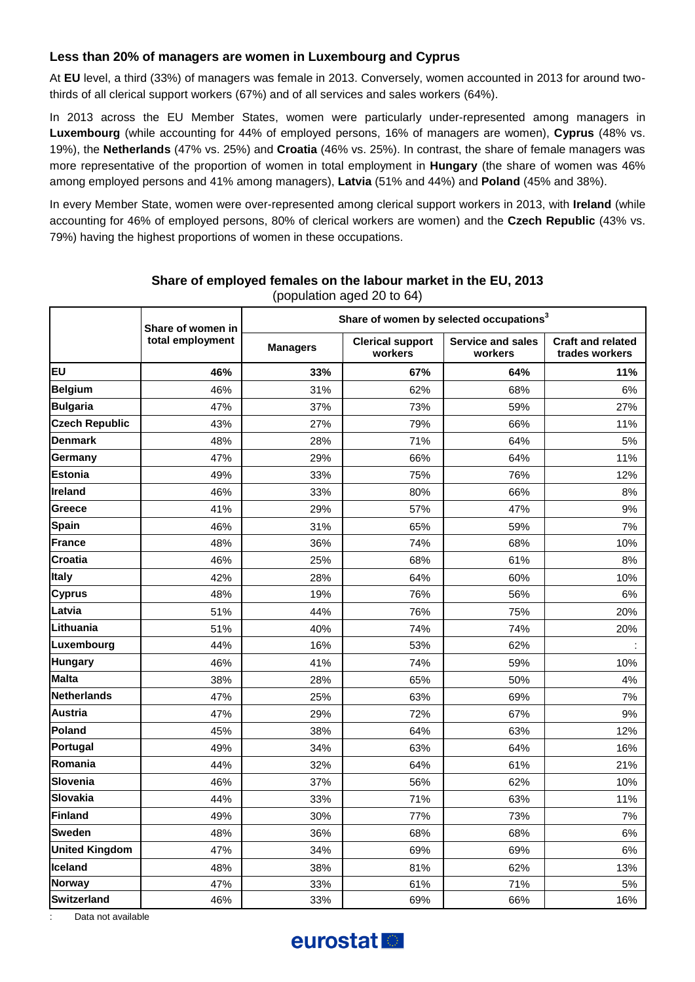## **Less than 20% of managers are women in Luxembourg and Cyprus**

At **EU** level, a third (33%) of managers was female in 2013. Conversely, women accounted in 2013 for around twothirds of all clerical support workers (67%) and of all services and sales workers (64%).

In 2013 across the EU Member States, women were particularly under-represented among managers in **Luxembourg** (while accounting for 44% of employed persons, 16% of managers are women), **Cyprus** (48% vs. 19%), the **Netherlands** (47% vs. 25%) and **Croatia** (46% vs. 25%). In contrast, the share of female managers was more representative of the proportion of women in total employment in **Hungary** (the share of women was 46% among employed persons and 41% among managers), **Latvia** (51% and 44%) and **Poland** (45% and 38%).

In every Member State, women were over-represented among clerical support workers in 2013, with **Ireland** (while accounting for 46% of employed persons, 80% of clerical workers are women) and the **Czech Republic** (43% vs. 79%) having the highest proportions of women in these occupations.

|                       |                                       | w<br>Share of women by selected occupations <sup>3</sup> |                                    |                                     |                                            |  |  |  |
|-----------------------|---------------------------------------|----------------------------------------------------------|------------------------------------|-------------------------------------|--------------------------------------------|--|--|--|
|                       | Share of women in<br>total employment | <b>Managers</b>                                          | <b>Clerical support</b><br>workers | <b>Service and sales</b><br>workers | <b>Craft and related</b><br>trades workers |  |  |  |
| EU                    | 46%                                   | 33%                                                      | 67%                                | 64%                                 | 11%                                        |  |  |  |
| <b>Belgium</b>        | 46%                                   | 31%                                                      | 62%                                | 68%                                 | 6%                                         |  |  |  |
| <b>Bulgaria</b>       | 47%                                   | 37%                                                      | 73%                                | 59%                                 | 27%                                        |  |  |  |
| <b>Czech Republic</b> | 43%                                   | 27%                                                      | 79%                                | 66%                                 | 11%                                        |  |  |  |
| <b>Denmark</b>        | 48%                                   | 28%                                                      | 71%                                | 64%                                 | 5%                                         |  |  |  |
| Germany               | 47%                                   | 29%                                                      | 66%                                | 64%                                 | 11%                                        |  |  |  |
| <b>Estonia</b>        | 49%                                   | 33%                                                      | 75%                                | 76%                                 | 12%                                        |  |  |  |
| Ireland               | 46%                                   | 33%                                                      | 80%                                | 66%                                 | 8%                                         |  |  |  |
| Greece                | 41%                                   | 29%                                                      | 57%                                | 47%                                 | 9%                                         |  |  |  |
| <b>Spain</b>          | 46%                                   | 31%                                                      | 65%                                | 59%                                 | 7%                                         |  |  |  |
| <b>France</b>         | 48%                                   | 36%                                                      | 74%                                | 68%                                 | 10%                                        |  |  |  |
| <b>Croatia</b>        | 46%                                   | 25%                                                      | 68%                                | 61%                                 | 8%                                         |  |  |  |
| Italy                 | 42%                                   | 28%                                                      | 64%                                | 60%                                 | 10%                                        |  |  |  |
| <b>Cyprus</b>         | 48%                                   | 19%                                                      | 76%                                | 56%                                 | 6%                                         |  |  |  |
| Latvia                | 51%                                   | 44%                                                      | 76%                                | 75%                                 | 20%                                        |  |  |  |
| Lithuania             | 51%                                   | 40%                                                      | 74%                                | 74%                                 | 20%                                        |  |  |  |
| Luxembourg            | 44%                                   | 16%                                                      | 53%                                | 62%                                 |                                            |  |  |  |
| <b>Hungary</b>        | 46%                                   | 41%                                                      | 74%                                | 59%                                 | 10%                                        |  |  |  |
| <b>Malta</b>          | 38%                                   | 28%                                                      | 65%                                | 50%                                 | 4%                                         |  |  |  |
| <b>Netherlands</b>    | 47%                                   | 25%                                                      | 63%                                | 69%                                 | 7%                                         |  |  |  |
| <b>Austria</b>        | 47%                                   | 29%                                                      | 72%                                | 67%                                 | 9%                                         |  |  |  |
| Poland                | 45%                                   | 38%                                                      | 64%                                | 63%                                 | 12%                                        |  |  |  |
| Portugal              | 49%                                   | 34%                                                      | 63%                                | 64%                                 | 16%                                        |  |  |  |
| Romania               | 44%                                   | 32%                                                      | 64%                                | 61%                                 | 21%                                        |  |  |  |
| <b>Slovenia</b>       | 46%                                   | 37%                                                      | 56%                                | 62%                                 | 10%                                        |  |  |  |
| <b>Slovakia</b>       | 44%                                   | 33%                                                      | 71%                                | 63%                                 | 11%                                        |  |  |  |
| <b>Finland</b>        | 49%                                   | 30%                                                      | 77%                                | 73%                                 | 7%                                         |  |  |  |
| <b>Sweden</b>         | 48%                                   | 36%                                                      | 68%                                | 68%                                 | 6%                                         |  |  |  |
| <b>United Kingdom</b> | 47%                                   | 34%                                                      | 69%                                | 69%                                 | 6%                                         |  |  |  |
| Iceland               | 48%                                   | 38%                                                      | 81%                                | 62%                                 | 13%                                        |  |  |  |
| <b>Norway</b>         | 47%                                   | 33%                                                      | 61%                                | 71%                                 | 5%                                         |  |  |  |
| <b>Switzerland</b>    | 46%                                   | 33%                                                      | 69%                                | 66%                                 | 16%                                        |  |  |  |

#### **Share of employed females on the labour market in the EU, 2013** (population aged 20 to 64)

Data not available